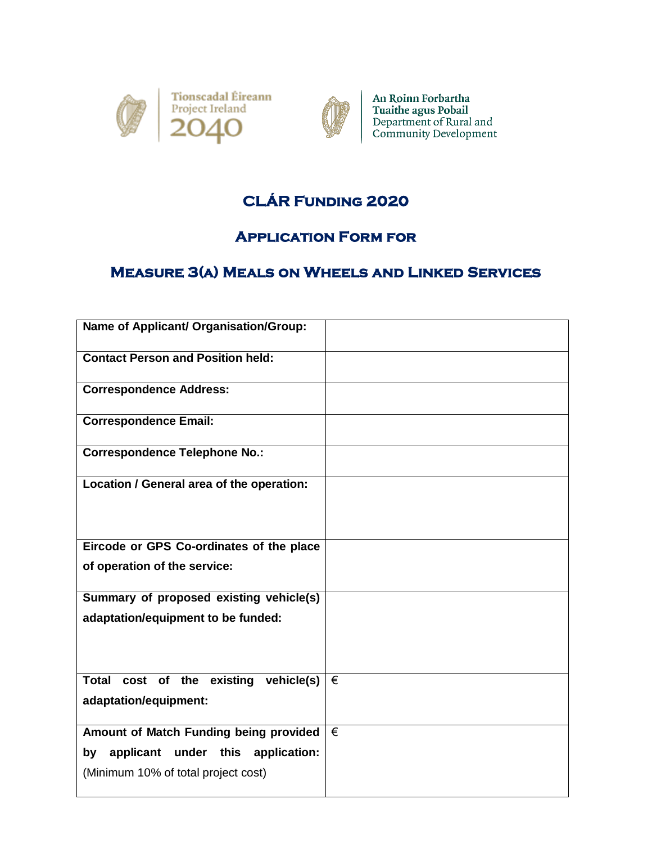



An Roinn Forbartha Tuaithe agus Pobail<br>Department of Rural and<br>Community Development

## **CLÁR Funding 2020**

## **Application Form for**

## **Measure 3(a) Meals on Wheels and Linked Services**

| Name of Applicant/ Organisation/Group:                            |   |
|-------------------------------------------------------------------|---|
| <b>Contact Person and Position held:</b>                          |   |
| <b>Correspondence Address:</b>                                    |   |
| <b>Correspondence Email:</b>                                      |   |
| <b>Correspondence Telephone No.:</b>                              |   |
| Location / General area of the operation:                         |   |
| Eircode or GPS Co-ordinates of the place                          |   |
| of operation of the service:                                      |   |
| Summary of proposed existing vehicle(s)                           |   |
| adaptation/equipment to be funded:                                |   |
|                                                                   |   |
| Total cost of the existing<br>vehicle(s)<br>adaptation/equipment: | € |
| Amount of Match Funding being provided                            | € |
| under this application:<br>applicant<br>by                        |   |
| (Minimum 10% of total project cost)                               |   |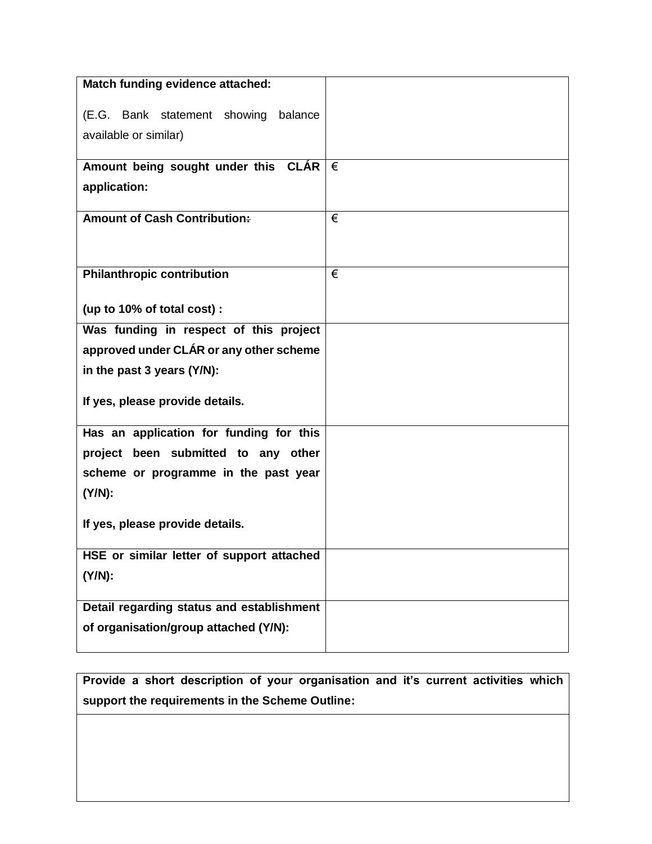| Match funding evidence attached:                 |   |
|--------------------------------------------------|---|
|                                                  |   |
| (E.G. Bank statement showing balance             |   |
| available or similar)                            |   |
| Amount being sought under this $CLAR \nvert \in$ |   |
|                                                  |   |
| application:                                     |   |
| <b>Amount of Cash Contribution:</b>              | € |
|                                                  |   |
|                                                  |   |
| <b>Philanthropic contribution</b>                | € |
|                                                  |   |
| (up to 10% of total cost) :                      |   |
| Was funding in respect of this project           |   |
| approved under CLÁR or any other scheme          |   |
|                                                  |   |
| in the past 3 years (Y/N):                       |   |
| If yes, please provide details.                  |   |
|                                                  |   |
| Has an application for funding for this          |   |
| project been submitted to any other              |   |
| scheme or programme in the past year             |   |
| (Y/N):                                           |   |
|                                                  |   |
| If yes, please provide details.                  |   |
|                                                  |   |
| HSE or similar letter of support attached        |   |
| (Y/N):                                           |   |
| Detail regarding status and establishment        |   |
|                                                  |   |
| of organisation/group attached (Y/N):            |   |
|                                                  |   |

**Provide a short description of your organisation and it's current activities which support the requirements in the Scheme Outline:**